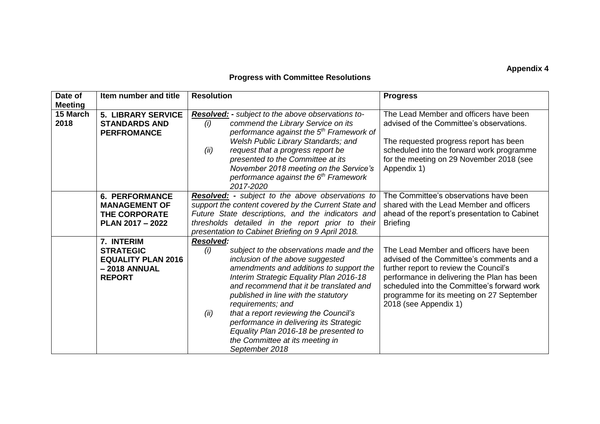## **Appendix 4**

## **Progress with Committee Resolutions**

| Date of<br><b>Meeting</b> | Item number and title                                                                        | <b>Resolution</b>                                                                                                                                                                                                                                                                                                                                                                                                                                                                               | <b>Progress</b>                                                                                                                                                                                                                                                                                   |  |
|---------------------------|----------------------------------------------------------------------------------------------|-------------------------------------------------------------------------------------------------------------------------------------------------------------------------------------------------------------------------------------------------------------------------------------------------------------------------------------------------------------------------------------------------------------------------------------------------------------------------------------------------|---------------------------------------------------------------------------------------------------------------------------------------------------------------------------------------------------------------------------------------------------------------------------------------------------|--|
| 15 March<br>2018          | <b>5. LIBRARY SERVICE</b><br><b>STANDARDS AND</b><br><b>PERFROMANCE</b>                      | Resolved: - subject to the above observations to-<br>commend the Library Service on its<br>(i)<br>performance against the 5 <sup>th</sup> Framework of<br>Welsh Public Library Standards; and<br>(ii)<br>request that a progress report be<br>presented to the Committee at its<br>November 2018 meeting on the Service's<br>performance against the 6 <sup>th</sup> Framework<br>2017-2020                                                                                                     | The Lead Member and officers have been<br>advised of the Committee's observations.<br>The requested progress report has been<br>scheduled into the forward work programme<br>for the meeting on 29 November 2018 (see<br>Appendix 1)                                                              |  |
|                           | <b>6. PERFORMANCE</b><br><b>MANAGEMENT OF</b><br><b>THE CORPORATE</b><br>PLAN 2017 - 2022    | <b>Resolved:</b> - subject to the above observations to<br>support the content covered by the Current State and<br>Future State descriptions, and the indicators and<br>thresholds detailed in the report prior to their<br>presentation to Cabinet Briefing on 9 April 2018.                                                                                                                                                                                                                   | The Committee's observations have been<br>shared with the Lead Member and officers<br>ahead of the report's presentation to Cabinet<br><b>Briefing</b>                                                                                                                                            |  |
|                           | 7. INTERIM<br><b>STRATEGIC</b><br><b>EQUALITY PLAN 2016</b><br>-2018 ANNUAL<br><b>REPORT</b> | <b>Resolved:</b><br>(i)<br>subject to the observations made and the<br>inclusion of the above suggested<br>amendments and additions to support the<br>Interim Strategic Equality Plan 2016-18<br>and recommend that it be translated and<br>published in line with the statutory<br>requirements; and<br>that a report reviewing the Council's<br>(ii)<br>performance in delivering its Strategic<br>Equality Plan 2016-18 be presented to<br>the Committee at its meeting in<br>September 2018 | The Lead Member and officers have been<br>advised of the Committee's comments and a<br>further report to review the Council's<br>performance in delivering the Plan has been<br>scheduled into the Committee's forward work<br>programme for its meeting on 27 September<br>2018 (see Appendix 1) |  |